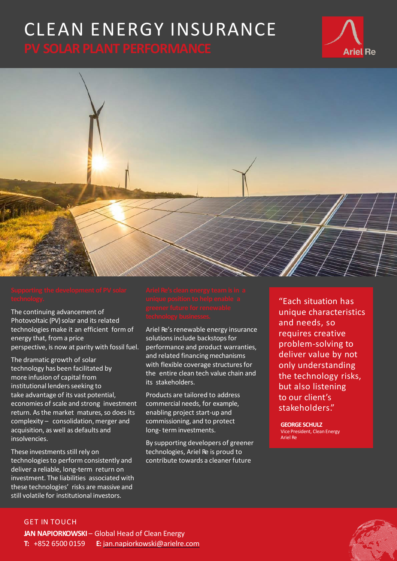# CLEAN ENERGY INSURANCE



The continuing advancement of Photovoltaic (PV) solar and its related technologies make it an efficient form of energy that, from a price perspective, is now at parity with fossil fuel.

The dramatic growth of solar technology has been facilitated by more infusion of capital from institutional lenders seeking to take advantage of its vast potential, economies of scale and strong investment return. As the market matures, so does its complexity – consolidation, merger and acquisition, as well as defaults and insolvencies.

These investments still rely on technologiesto perform consistently and deliver a reliable, long-term return on investment. The liabilities associated with these technologies' risks are massive and still volatile for institutional investors.

Ariel Re's renewable energy insurance solutions include backstops for performance and product warranties, and related financing mechanisms with flexible coverage structures for the entire clean tech value chain and its stakeholders.

Products are tailored to address commercial needs, for example, enabling project start-up and commissioning, and to protect long- term investments.

By supporting developers of greener technologies, Ariel Re is proud to contribute towards a cleaner future

"Each situation has unique characteristics and needs, so requires creative problem-solving to deliver value by not only understanding the technology risks, but also listening to our client's stakeholders."

**Ariel Re** 

**GEORGE SCHULZ** Vice President, Clean Energy Ariel Re